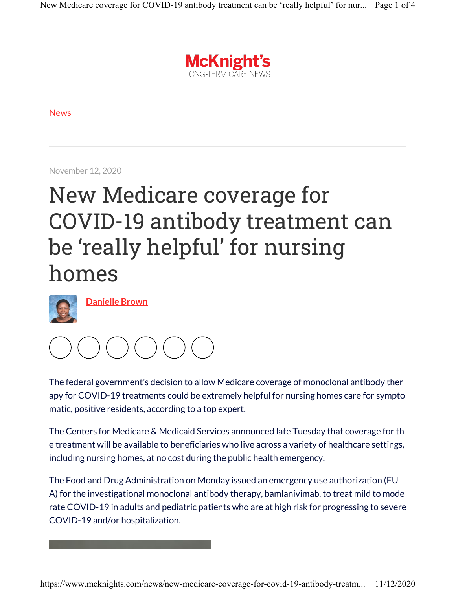

News

November 12, 2020

## New Medicare coverage for COVID-19 antibody treatment can be 'really helpful' for nursing homes



Danielle Brown



The federal government's decision to allow Medicare coverage of monoclonal antibody ther apy for COVID-19 treatments could be extremely helpful for nursing homes care for sympto matic, positive residents, according to a top expert.

The Centers for Medicare & Medicaid Services announced late Tuesday that coverage for th e treatment will be available to beneficiaries who live across a variety of healthcare settings, including nursing homes, at no cost during the public health emergency.

The Food and Drug Administration on Monday issued an emergency use authorization (EU A) for the investigational monoclonal antibody therapy, bamlanivimab, to treat mild to mode rate COVID-19 in adults and pediatric patients who are at high risk for progressing to severe COVID-19 and/or hospitalization.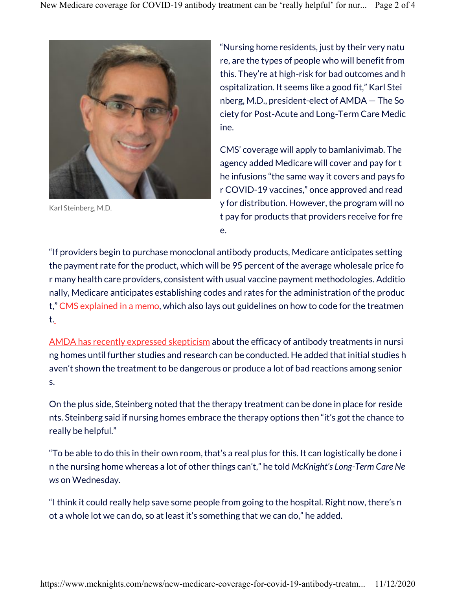

Karl Steinberg, M.D.

"Nursing home residents, just by their very natu re, are the types of people who will benefit from this. They're at high-risk for bad outcomes and h ospitalization. It seems like a good fit," Karl Stei nberg, M.D., president-elect of AMDA — The So ciety for Post-Acute and Long-Term Care Medic ine.

CMS' coverage will apply to bamlanivimab. The agency added Medicare will cover and pay for t he infusions "the same way it covers and pays fo r COVID-19 vaccines," once approved and read y for distribution. However, the program will no t pay for products that providers receive for fre e.

"If providers begin to purchase monoclonal antibody products, Medicare anticipates setting the payment rate for the product, which will be 95 percent of the average wholesale price fo r many health care providers, consistent with usual vaccine payment methodologies. Additio nally, Medicare anticipates establishing codes and rates for the administration of the produc t," CMS explained in a memo, which also lays out guidelines on how to code for the treatmen t.

AMDA has recently expressed skepticism about the efficacy of antibody treatments in nursi ng homes until further studies and research can be conducted. He added that initial studies h aven't shown the treatment to be dangerous or produce a lot of bad reactions among senior s.

On the plus side, Steinberg noted that the therapy treatment can be done in place for reside nts. Steinberg said if nursing homes embrace the therapy options then "it's got the chance to really be helpful."

"To be able to do this in their own room, that's a real plus for this. It can logistically be done i n the nursing home whereas a lot of other things can't," he told McKnight's Long-Term Care Ne ws on Wednesday.

"I think it could really help save some people from going to the hospital. Right now, there's n ot a whole lot we can do, so at least it's something that we can do," he added.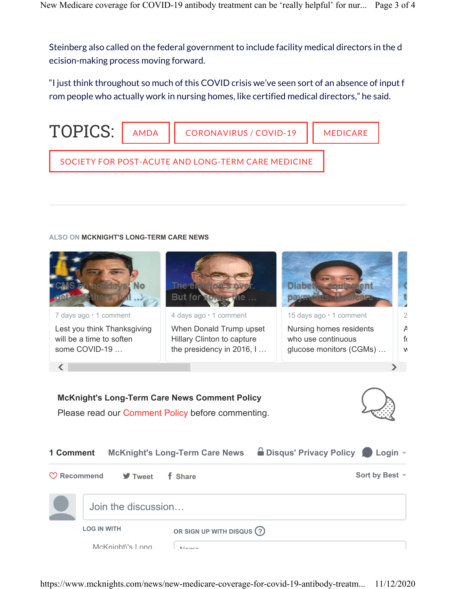Steinberg also called on the federal government to include facility medical directors in the d ecision-making process moving forward.

"I just think throughout so much of this COVID crisis we've seen sort of an absence of input f rom people who actually work in nursing homes, like certified medical directors," he said.